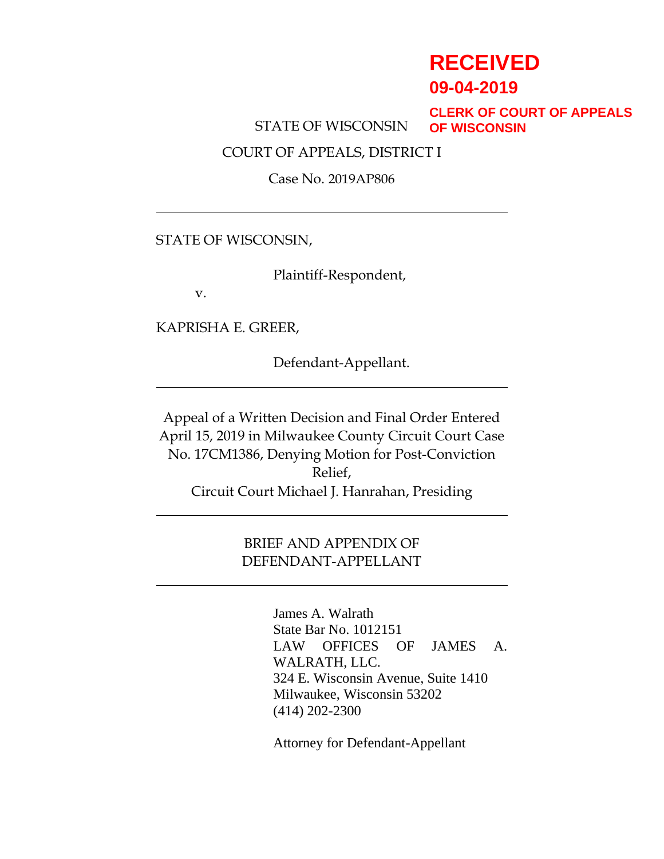# **RECEIVED**

**09-04-2019**

STATE OF WISCONSIN

**CLERK OF COURT OF APPEALS OF WISCONSIN**

COURT OF APPEALS, DISTRICT I

Case No. 2019AP806

## STATE OF WISCONSIN,

Plaintiff-Respondent,

v.

KAPRISHA E. GREER,

Defendant-Appellant.

Appeal of a Written Decision and Final Order Entered April 15, 2019 in Milwaukee County Circuit Court Case No. 17CM1386, Denying Motion for Post-Conviction Relief, Circuit Court Michael J. Hanrahan, Presiding

# BRIEF AND APPENDIX OF DEFENDANT-APPELLANT

James A. Walrath State Bar No. 1012151 LAW OFFICES OF JAMES A. WALRATH, LLC. 324 E. Wisconsin Avenue, Suite 1410 Milwaukee, Wisconsin 53202 (414) 202-2300

Attorney for Defendant-Appellant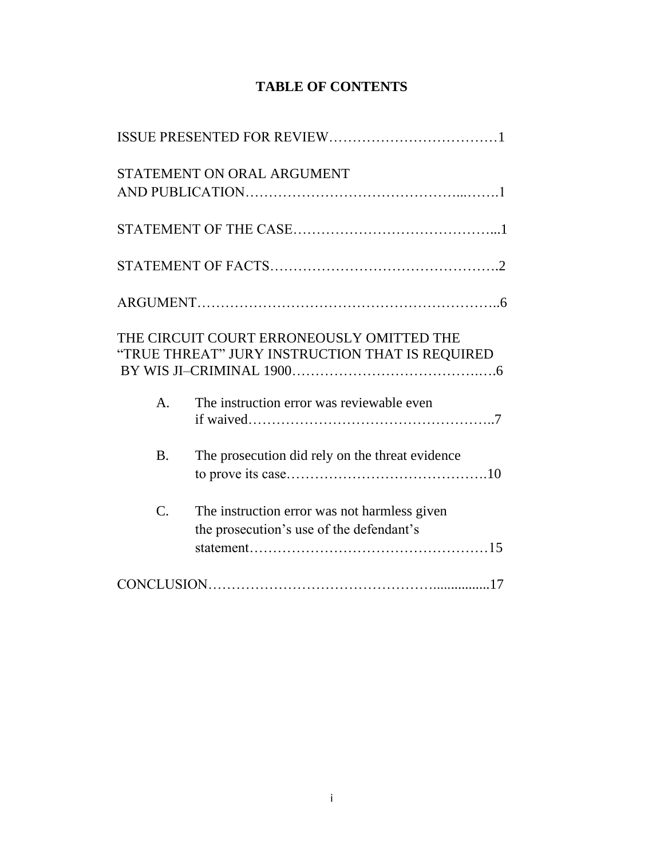| <b>TABLE OF CONTENTS</b> |  |
|--------------------------|--|
|--------------------------|--|

|                 | STATEMENT ON ORAL ARGUMENT                                                                   |
|-----------------|----------------------------------------------------------------------------------------------|
|                 |                                                                                              |
|                 |                                                                                              |
|                 |                                                                                              |
|                 | THE CIRCUIT COURT ERRONEOUSLY OMITTED THE<br>"TRUE THREAT" JURY INSTRUCTION THAT IS REQUIRED |
| A <sub>1</sub>  | The instruction error was reviewable even                                                    |
| <b>B.</b>       | The prosecution did rely on the threat evidence                                              |
| $\mathcal{C}$ . | The instruction error was not harmless given<br>the prosecution's use of the defendant's     |
|                 |                                                                                              |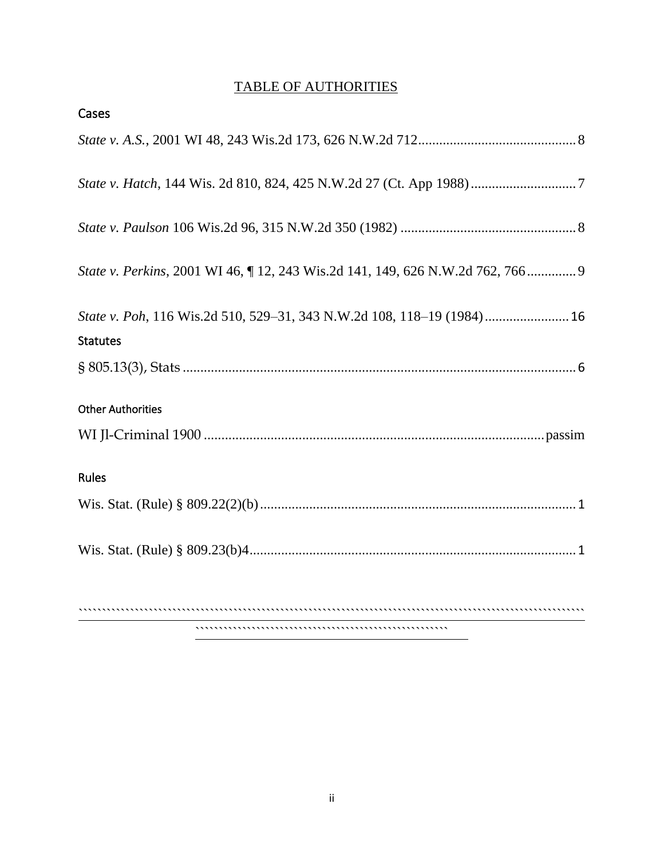# TABLE OF AUTHORITIES

| Cases                                                                        |
|------------------------------------------------------------------------------|
|                                                                              |
|                                                                              |
|                                                                              |
| State v. Perkins, 2001 WI 46, 12, 243 Wis.2d 141, 149, 626 N.W.2d 762, 766 9 |
| State v. Poh, 116 Wis.2d 510, 529-31, 343 N.W.2d 108, 118-19 (1984) 16       |
| <b>Statutes</b>                                                              |
|                                                                              |
| <b>Other Authorities</b>                                                     |
|                                                                              |
| Rules                                                                        |
|                                                                              |
|                                                                              |
|                                                                              |

``````````````````````````````````````````````````````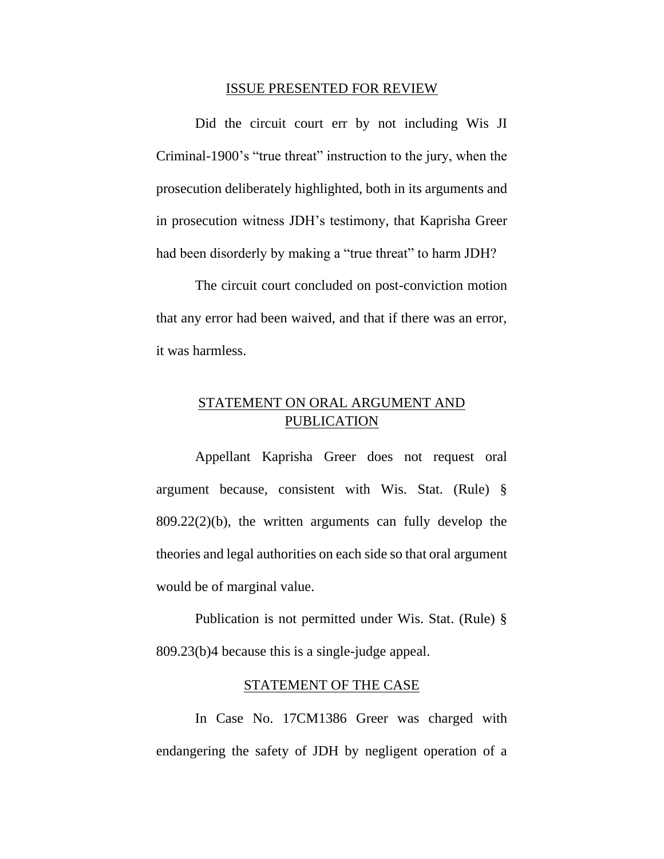#### ISSUE PRESENTED FOR REVIEW

Did the circuit court err by not including Wis JI Criminal-1900's "true threat" instruction to the jury, when the prosecution deliberately highlighted, both in its arguments and in prosecution witness JDH's testimony, that Kaprisha Greer had been disorderly by making a "true threat" to harm JDH?

The circuit court concluded on post-conviction motion that any error had been waived, and that if there was an error, it was harmless.

# STATEMENT ON ORAL ARGUMENT AND PUBLICATION

Appellant Kaprisha Greer does not request oral argument because, consistent with Wis. Stat. (Rule) § 809.22(2)(b), the written arguments can fully develop the theories and legal authorities on each side so that oral argument would be of marginal value.

Publication is not permitted under Wis. Stat. (Rule) § 809.23(b)4 because this is a single-judge appeal.

#### STATEMENT OF THE CASE

In Case No. 17CM1386 Greer was charged with endangering the safety of JDH by negligent operation of a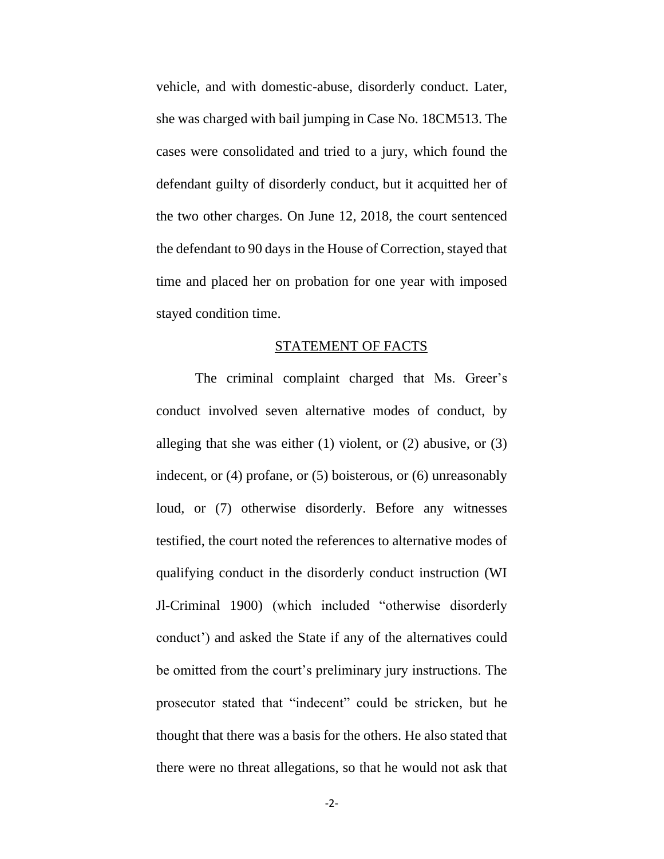vehicle, and with domestic-abuse, disorderly conduct. Later, she was charged with bail jumping in Case No. 18CM513. The cases were consolidated and tried to a jury, which found the defendant guilty of disorderly conduct, but it acquitted her of the two other charges. On June 12, 2018, the court sentenced the defendant to 90 days in the House of Correction, stayed that time and placed her on probation for one year with imposed stayed condition time.

#### STATEMENT OF FACTS

The criminal complaint charged that Ms. Greer's conduct involved seven alternative modes of conduct, by alleging that she was either  $(1)$  violent, or  $(2)$  abusive, or  $(3)$ indecent, or (4) profane, or (5) boisterous, or (6) unreasonably loud, or (7) otherwise disorderly. Before any witnesses testified, the court noted the references to alternative modes of qualifying conduct in the disorderly conduct instruction (WI Jl-Criminal 1900) (which included "otherwise disorderly conduct') and asked the State if any of the alternatives could be omitted from the court's preliminary jury instructions. The prosecutor stated that "indecent" could be stricken, but he thought that there was a basis for the others. He also stated that there were no threat allegations, so that he would not ask that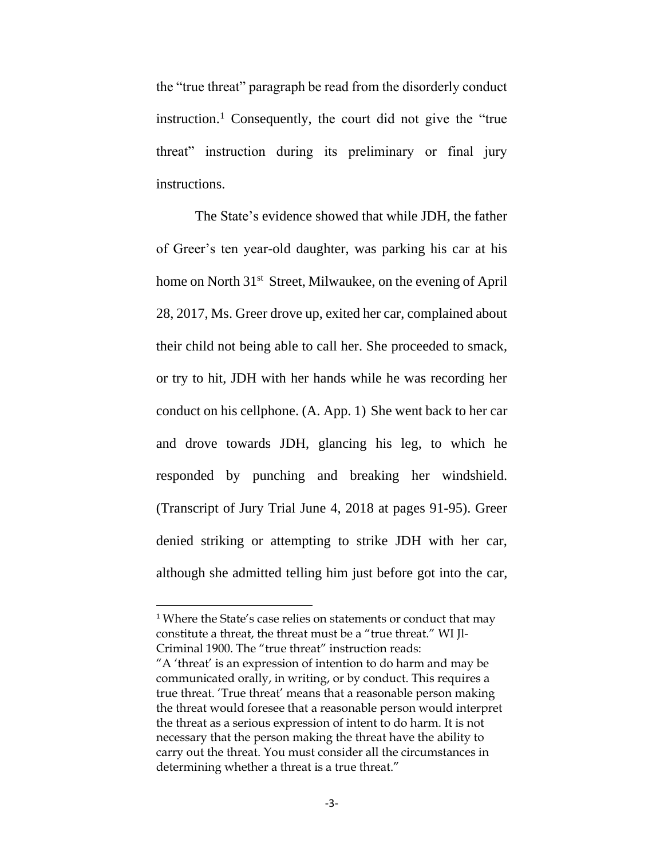the "true threat" paragraph be read from the disorderly conduct instruction.<sup>1</sup> Consequently, the court did not give the "true" threat" instruction during its preliminary or final jury instructions.

The State's evidence showed that while JDH, the father of Greer's ten year-old daughter, was parking his car at his home on North 31<sup>st</sup> Street, Milwaukee, on the evening of April 28, 2017, Ms. Greer drove up, exited her car, complained about their child not being able to call her. She proceeded to smack, or try to hit, JDH with her hands while he was recording her conduct on his cellphone. (A. App. 1) She went back to her car and drove towards JDH, glancing his leg, to which he responded by punching and breaking her windshield. (Transcript of Jury Trial June 4, 2018 at pages 91-95). Greer denied striking or attempting to strike JDH with her car, although she admitted telling him just before got into the car,

<sup>&</sup>lt;sup>1</sup> Where the State's case relies on statements or conduct that may constitute a threat, the threat must be a "true threat." WI Jl-Criminal 1900. The "true threat" instruction reads:

<sup>&</sup>quot;A 'threat' is an expression of intention to do harm and may be communicated orally, in writing, or by conduct. This requires a true threat. 'True threat' means that a reasonable person making the threat would foresee that a reasonable person would interpret the threat as a serious expression of intent to do harm. It is not necessary that the person making the threat have the ability to carry out the threat. You must consider all the circumstances in determining whether a threat is a true threat."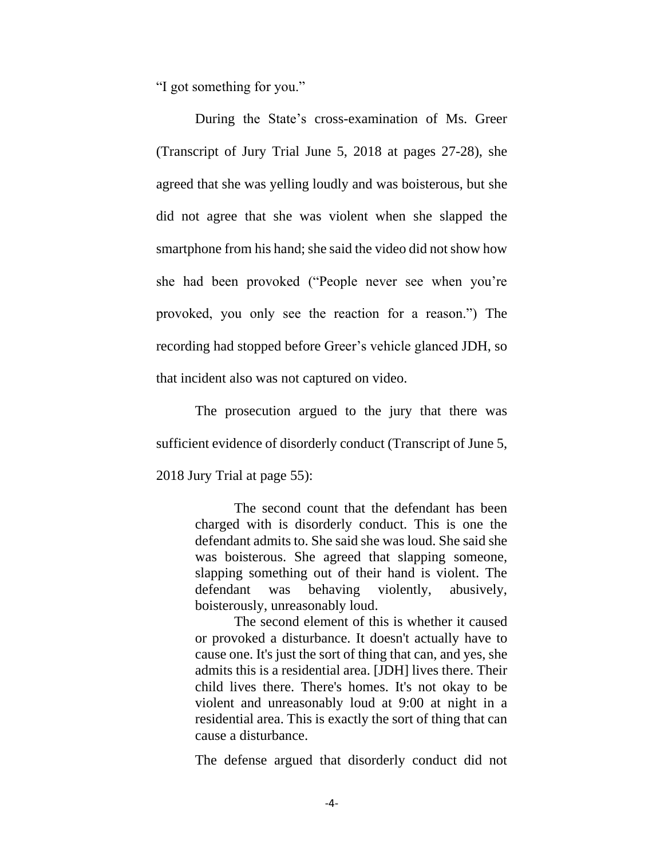"I got something for you."

During the State's cross-examination of Ms. Greer (Transcript of Jury Trial June 5, 2018 at pages 27-28), she agreed that she was yelling loudly and was boisterous, but she did not agree that she was violent when she slapped the smartphone from his hand; she said the video did not show how she had been provoked ("People never see when you're provoked, you only see the reaction for a reason.") The recording had stopped before Greer's vehicle glanced JDH, so that incident also was not captured on video.

The prosecution argued to the jury that there was sufficient evidence of disorderly conduct (Transcript of June 5, 2018 Jury Trial at page 55):

> The second count that the defendant has been charged with is disorderly conduct. This is one the defendant admits to. She said she was loud. She said she was boisterous. She agreed that slapping someone, slapping something out of their hand is violent. The defendant was behaving violently, abusively, boisterously, unreasonably loud.

> The second element of this is whether it caused or provoked a disturbance. It doesn't actually have to cause one. It's just the sort of thing that can, and yes, she admits this is a residential area. [JDH] lives there. Their child lives there. There's homes. It's not okay to be violent and unreasonably loud at 9:00 at night in a residential area. This is exactly the sort of thing that can cause a disturbance.

The defense argued that disorderly conduct did not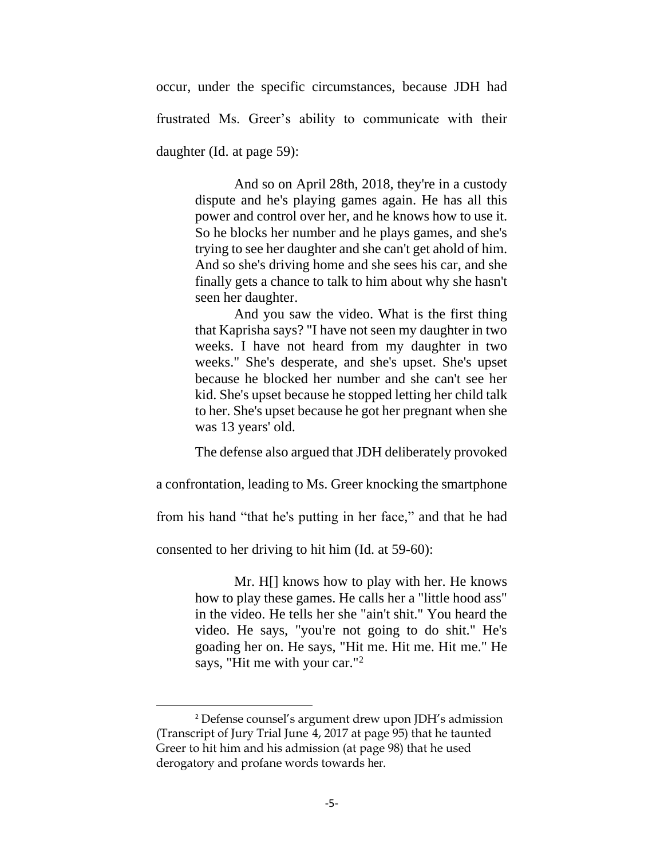occur, under the specific circumstances, because JDH had frustrated Ms. Greer's ability to communicate with their daughter (Id. at page 59):

> And so on April 28th, 2018, they're in a custody dispute and he's playing games again. He has all this power and control over her, and he knows how to use it. So he blocks her number and he plays games, and she's trying to see her daughter and she can't get ahold of him. And so she's driving home and she sees his car, and she finally gets a chance to talk to him about why she hasn't seen her daughter.

> And you saw the video. What is the first thing that Kaprisha says? "I have not seen my daughter in two weeks. I have not heard from my daughter in two weeks." She's desperate, and she's upset. She's upset because he blocked her number and she can't see her kid. She's upset because he stopped letting her child talk to her. She's upset because he got her pregnant when she was 13 years' old.

> The defense also argued that JDH deliberately provoked

a confrontation, leading to Ms. Greer knocking the smartphone

from his hand "that he's putting in her face," and that he had

consented to her driving to hit him (Id. at 59-60):

Mr. H[] knows how to play with her. He knows how to play these games. He calls her a "little hood ass" in the video. He tells her she "ain't shit." You heard the video. He says, "you're not going to do shit." He's goading her on. He says, "Hit me. Hit me. Hit me." He says, "Hit me with your car."<sup>2</sup>

<sup>2</sup> Defense counsel's argument drew upon JDH's admission (Transcript of Jury Trial June 4, 2017 at page 95) that he taunted Greer to hit him and his admission (at page 98) that he used derogatory and profane words towards her.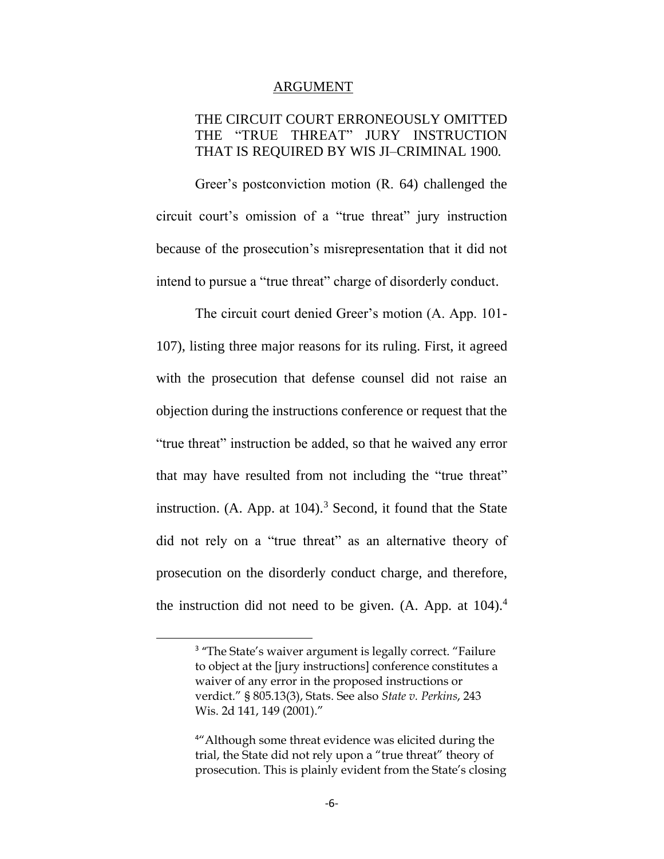#### ARGUMENT

## THE CIRCUIT COURT ERRONEOUSLY OMITTED THE "TRUE THREAT" JURY INSTRUCTION THAT IS REQUIRED BY WIS JI–CRIMINAL 1900*.*

Greer's postconviction motion (R. 64) challenged the circuit court's omission of a "true threat" jury instruction because of the prosecution's misrepresentation that it did not intend to pursue a "true threat" charge of disorderly conduct.

The circuit court denied Greer's motion (A. App. 101- 107), listing three major reasons for its ruling. First, it agreed with the prosecution that defense counsel did not raise an objection during the instructions conference or request that the "true threat" instruction be added, so that he waived any error that may have resulted from not including the "true threat" instruction. (A. App. at  $104$ )<sup>3</sup> Second, it found that the State did not rely on a "true threat" as an alternative theory of prosecution on the disorderly conduct charge, and therefore, the instruction did not need to be given.  $(A.$  App. at  $104).<sup>4</sup>$ 

<sup>&</sup>lt;sup>3</sup> "The State's waiver argument is legally correct. "Failure to object at the [jury instructions] conference constitutes a waiver of any error in the proposed instructions or verdict." § 805.13(3), Stats. See also *State v. Perkins*, 243 Wis. 2d 141, 149 (2001)."

<sup>&</sup>lt;sup>4"</sup> Although some threat evidence was elicited during the trial, the State did not rely upon a "true threat" theory of prosecution. This is plainly evident from the State's closing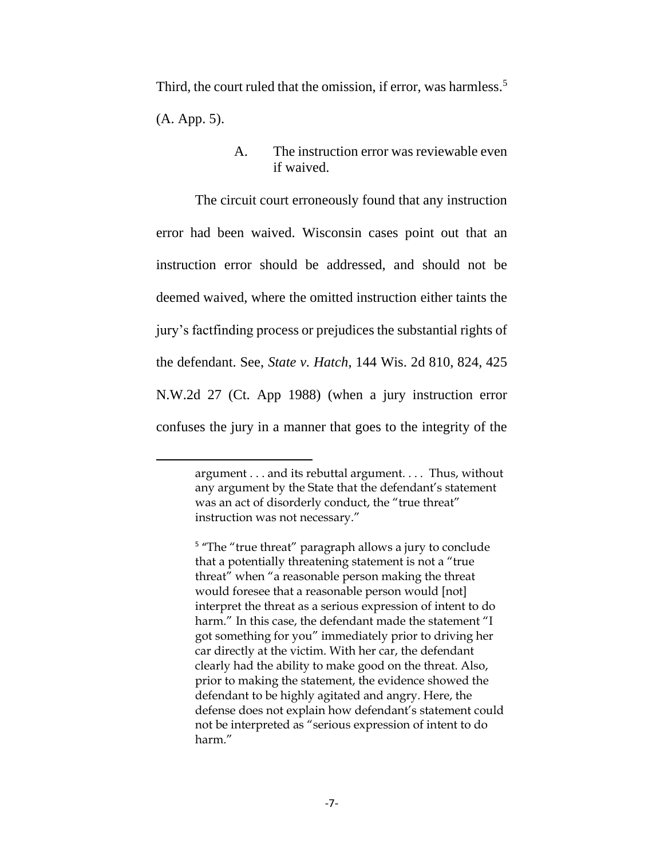Third, the court ruled that the omission, if error, was harmless.<sup>5</sup> (A. App. 5).

The circuit court erroneously found that any instruction error had been waived. Wisconsin cases point out that an instruction error should be addressed, and should not be deemed waived, where the omitted instruction either taints the jury's factfinding process or prejudices the substantial rights of the defendant. See, *State v. Hatch*, 144 Wis. 2d 810, 824, 425 N.W.2d 27 (Ct. App 1988) (when a jury instruction error confuses the jury in a manner that goes to the integrity of the

A. The instruction error was reviewable even if waived.

argument . . . and its rebuttal argument. . . . Thus, without any argument by the State that the defendant's statement was an act of disorderly conduct, the "true threat" instruction was not necessary."

<sup>&</sup>lt;sup>5</sup> "The "true threat" paragraph allows a jury to conclude that a potentially threatening statement is not a "true threat" when "a reasonable person making the threat would foresee that a reasonable person would [not] interpret the threat as a serious expression of intent to do harm." In this case, the defendant made the statement "I got something for you" immediately prior to driving her car directly at the victim. With her car, the defendant clearly had the ability to make good on the threat. Also, prior to making the statement, the evidence showed the defendant to be highly agitated and angry. Here, the defense does not explain how defendant's statement could not be interpreted as "serious expression of intent to do harm."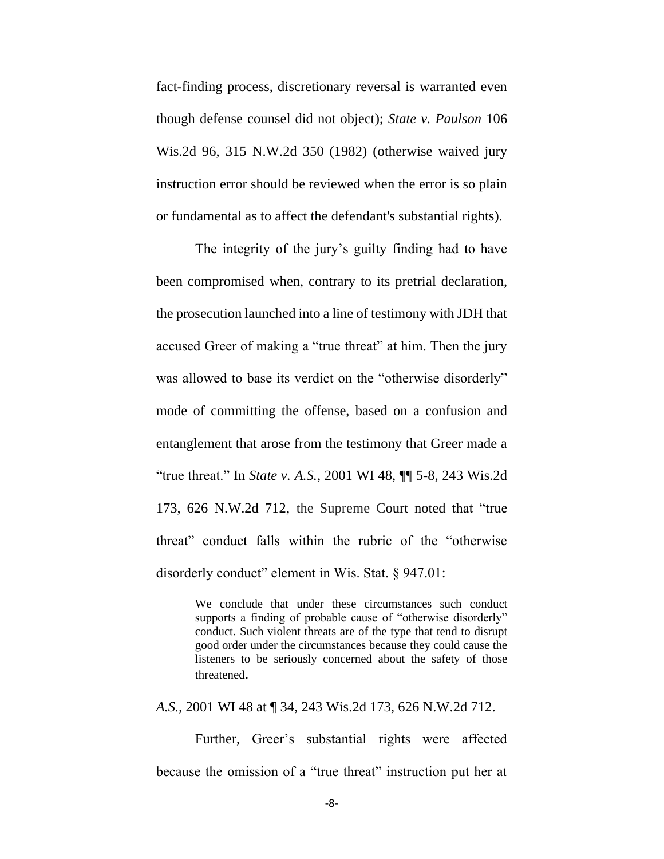fact-finding process, discretionary reversal is warranted even though defense counsel did not object); *State v. Paulson* 106 Wis.2d 96, 315 N.W.2d 350 (1982) (otherwise waived jury instruction error should be reviewed when the error is so plain or fundamental as to affect the defendant's substantial rights).

The integrity of the jury's guilty finding had to have been compromised when, contrary to its pretrial declaration, the prosecution launched into a line of testimony with JDH that accused Greer of making a "true threat" at him. Then the jury was allowed to base its verdict on the "otherwise disorderly" mode of committing the offense, based on a confusion and entanglement that arose from the testimony that Greer made a "true threat." In *State v. A.S.*[, 2001 WI 48, ¶¶ 5-8, 243 Wis.2d](https://1.next.westlaw.com/Link/Document/FullText?findType=Y&serNum=2001420155&pubNum=595&originatingDoc=Ibbaf5e23ff2711d983e7e9deff98dc6f&refType=RP&originationContext=document&transitionType=DocumentItem&contextData=(sc.Keycite))  [173, 626 N.W.2d 712,](https://1.next.westlaw.com/Link/Document/FullText?findType=Y&serNum=2001420155&pubNum=595&originatingDoc=Ibbaf5e23ff2711d983e7e9deff98dc6f&refType=RP&originationContext=document&transitionType=DocumentItem&contextData=(sc.Keycite)) the Supreme Court noted that "true threat" conduct falls within the rubric of the "otherwise disorderly conduct" element in Wis. Stat. § 947.01:

> We conclude that under these circumstances such conduct supports a finding of probable cause of "otherwise disorderly" conduct. Such violent threats are of the type that tend to disrupt good order under the circumstances because they could cause the listeners to be seriously concerned about the safety of those threatened.

*A.S.*[, 2001 WI 48 at ¶ 34, 243 Wis.2d 173, 626 N.W.2d 712.](https://1.next.westlaw.com/Link/Document/FullText?findType=Y&serNum=2001420155&pubNum=595&originatingDoc=Ibbaf5e23ff2711d983e7e9deff98dc6f&refType=RP&originationContext=document&transitionType=DocumentItem&contextData=(sc.Keycite))

Further, Greer's substantial rights were affected because the omission of a "true threat" instruction put her at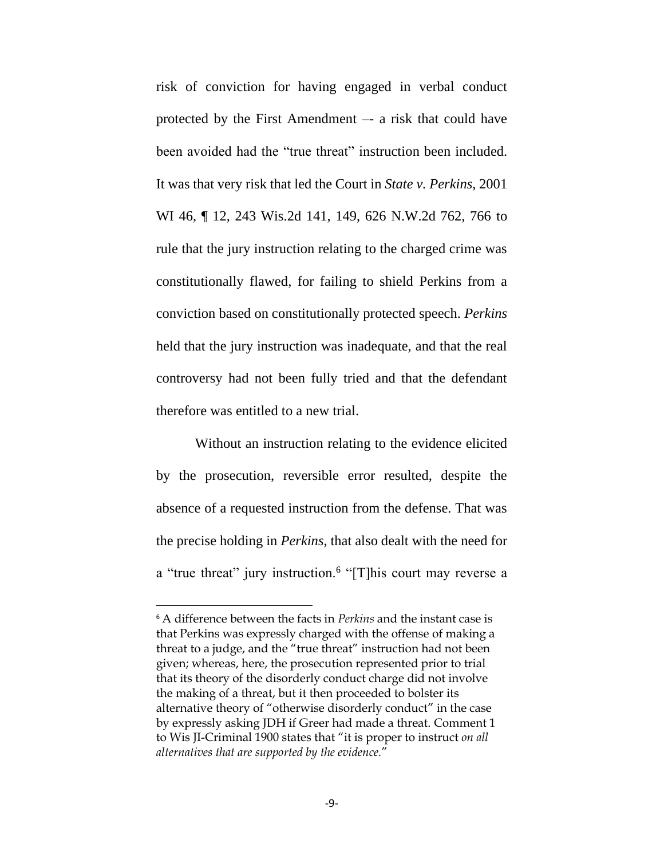risk of conviction for having engaged in verbal conduct protected by the First Amendment –- a risk that could have been avoided had the "true threat" instruction been included. It was that very risk that led the Court in *State v. Perkins*, 2001 WI 46, ¶ 12, 243 Wis.2d 141, 149, 626 N.W.2d 762, 766 to rule that the jury instruction relating to the charged crime was constitutionally flawed, for failing to shield Perkins from a conviction based on constitutionally protected speech. *Perkins* held that the jury instruction was inadequate, and that the real controversy had not been fully tried and that the defendant therefore was entitled to a new trial.

Without an instruction relating to the evidence elicited by the prosecution, reversible error resulted, despite the absence of a requested instruction from the defense. That was the precise holding in *Perkins*, that also dealt with the need for a "true threat" jury instruction.<sup>6</sup> "[T]his court may reverse a

<sup>6</sup> A difference between the facts in *Perkins* and the instant case is that Perkins was expressly charged with the offense of making a threat to a judge, and the "true threat" instruction had not been given; whereas, here, the prosecution represented prior to trial that its theory of the disorderly conduct charge did not involve the making of a threat, but it then proceeded to bolster its alternative theory of "otherwise disorderly conduct" in the case by expressly asking JDH if Greer had made a threat. Comment 1 to Wis JI-Criminal 1900 states that "it is proper to instruct *on all alternatives that are supported by the evidence.*"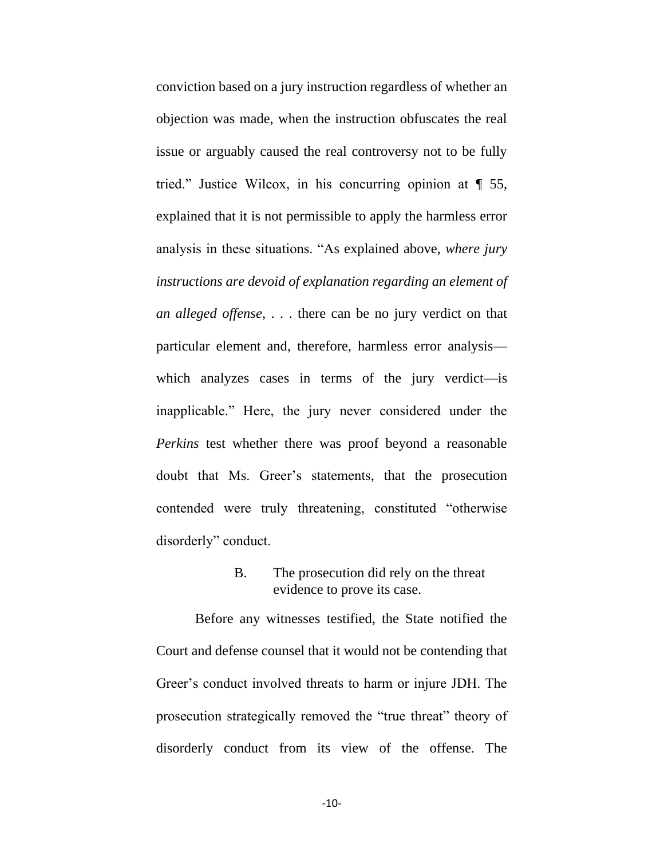conviction based on a jury instruction regardless of whether an objection was made, when the instruction obfuscates the real issue or arguably caused the real controversy not to be fully tried." Justice Wilcox, in his concurring opinion at ¶ 55, explained that it is not permissible to apply the harmless error analysis in these situations. "As explained above, *where jury instructions are devoid of explanation regarding an element of an alleged offense*, . . . there can be no jury verdict on that particular element and, therefore, harmless error analysis which analyzes cases in terms of the jury verdict—is inapplicable." Here, the jury never considered under the *Perkins* test whether there was proof beyond a reasonable doubt that Ms. Greer's statements, that the prosecution contended were truly threatening, constituted "otherwise disorderly" conduct.

## B. The prosecution did rely on the threat evidence to prove its case.

Before any witnesses testified, the State notified the Court and defense counsel that it would not be contending that Greer's conduct involved threats to harm or injure JDH. The prosecution strategically removed the "true threat" theory of disorderly conduct from its view of the offense. The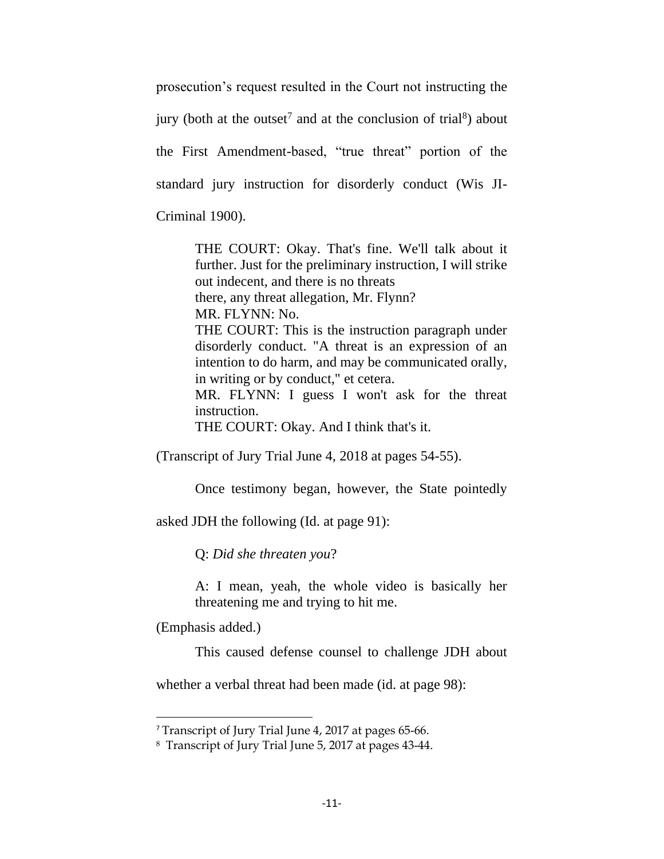prosecution's request resulted in the Court not instructing the jury (both at the outset<sup>7</sup> and at the conclusion of trial<sup>8</sup>) about the First Amendment-based, "true threat" portion of the standard jury instruction for disorderly conduct (Wis JI-Criminal 1900).

> THE COURT: Okay. That's fine. We'll talk about it further. Just for the preliminary instruction, I will strike out indecent, and there is no threats there, any threat allegation, Mr. Flynn? MR. FLYNN: No. THE COURT: This is the instruction paragraph under disorderly conduct. "A threat is an expression of an intention to do harm, and may be communicated orally, in writing or by conduct," et cetera. MR. FLYNN: I guess I won't ask for the threat instruction.

THE COURT: Okay. And I think that's it.

(Transcript of Jury Trial June 4, 2018 at pages 54-55).

Once testimony began, however, the State pointedly

asked JDH the following (Id. at page 91):

Q: *Did she threaten you*?

A: I mean, yeah, the whole video is basically her threatening me and trying to hit me.

(Emphasis added.)

This caused defense counsel to challenge JDH about

whether a verbal threat had been made (id. at page 98):

<sup>7</sup> Transcript of Jury Trial June 4, 2017 at pages 65-66.

<sup>8</sup> Transcript of Jury Trial June 5, 2017 at pages 43-44.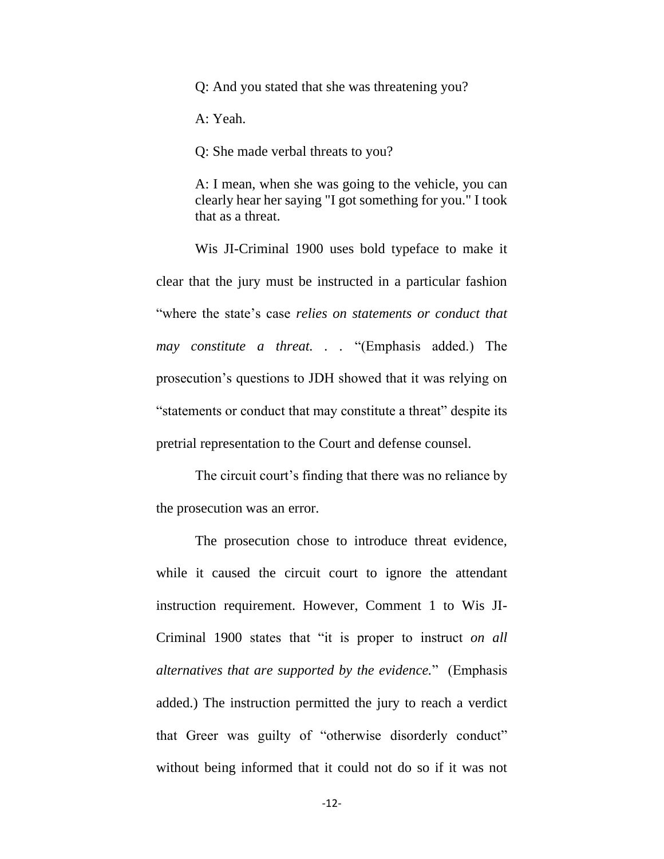Q: And you stated that she was threatening you?

A: Yeah.

Q: She made verbal threats to you?

A: I mean, when she was going to the vehicle, you can clearly hear her saying "I got something for you." I took that as a threat.

Wis JI-Criminal 1900 uses bold typeface to make it clear that the jury must be instructed in a particular fashion "where the state's case *relies on statements or conduct that may constitute a threat. . .* "(Emphasis added.) The prosecution's questions to JDH showed that it was relying on "statements or conduct that may constitute a threat" despite its pretrial representation to the Court and defense counsel.

The circuit court's finding that there was no reliance by the prosecution was an error.

The prosecution chose to introduce threat evidence, while it caused the circuit court to ignore the attendant instruction requirement. However, Comment 1 to Wis JI-Criminal 1900 states that "it is proper to instruct *on all alternatives that are supported by the evidence.*" (Emphasis added.) The instruction permitted the jury to reach a verdict that Greer was guilty of "otherwise disorderly conduct" without being informed that it could not do so if it was not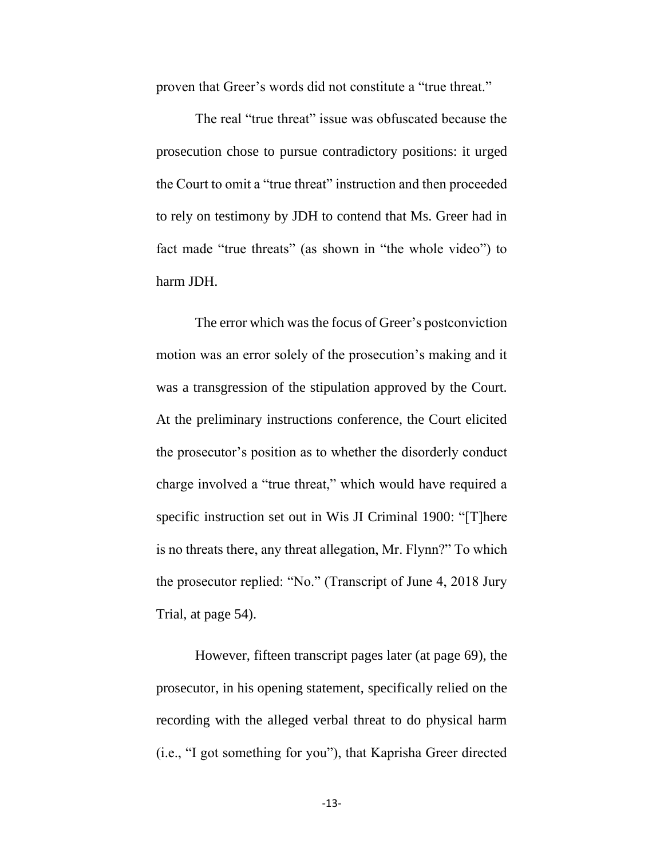proven that Greer's words did not constitute a "true threat."

The real "true threat" issue was obfuscated because the prosecution chose to pursue contradictory positions: it urged the Court to omit a "true threat" instruction and then proceeded to rely on testimony by JDH to contend that Ms. Greer had in fact made "true threats" (as shown in "the whole video") to harm JDH.

The error which was the focus of Greer's postconviction motion was an error solely of the prosecution's making and it was a transgression of the stipulation approved by the Court. At the preliminary instructions conference, the Court elicited the prosecutor's position as to whether the disorderly conduct charge involved a "true threat," which would have required a specific instruction set out in Wis JI Criminal 1900: "[T]here is no threats there, any threat allegation, Mr. Flynn?" To which the prosecutor replied: "No." (Transcript of June 4, 2018 Jury Trial, at page 54).

However, fifteen transcript pages later (at page 69), the prosecutor, in his opening statement, specifically relied on the recording with the alleged verbal threat to do physical harm (i.e., "I got something for you"), that Kaprisha Greer directed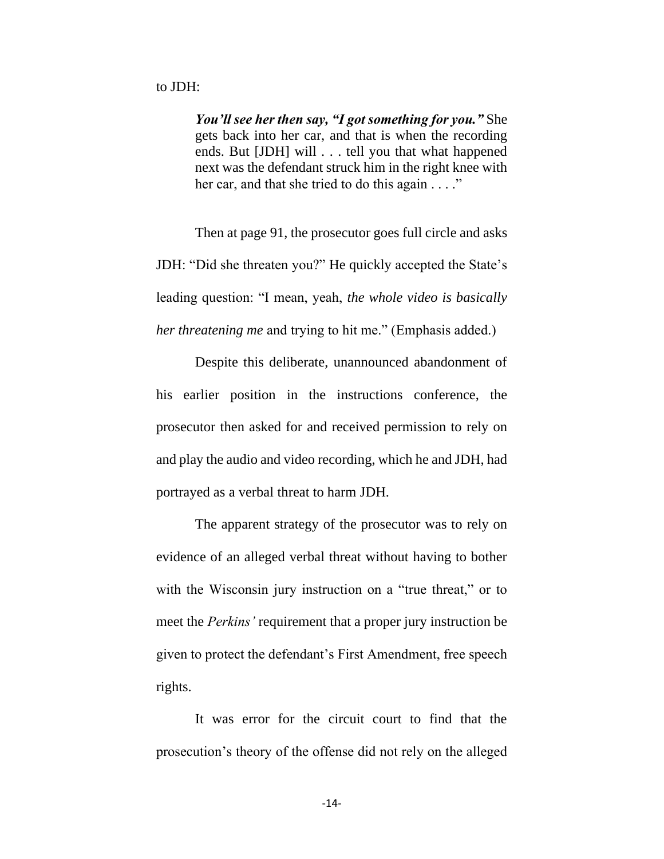*You'll see her then say, "I got something for you."* She gets back into her car, and that is when the recording ends. But [JDH] will . . . tell you that what happened next was the defendant struck him in the right knee with her car, and that she tried to do this again . . . ."

Then at page 91, the prosecutor goes full circle and asks JDH: "Did she threaten you?" He quickly accepted the State's leading question: "I mean, yeah, *the whole video is basically her threatening me* and trying to hit me." (Emphasis added.)

Despite this deliberate, unannounced abandonment of his earlier position in the instructions conference, the prosecutor then asked for and received permission to rely on and play the audio and video recording, which he and JDH, had portrayed as a verbal threat to harm JDH.

The apparent strategy of the prosecutor was to rely on evidence of an alleged verbal threat without having to bother with the Wisconsin jury instruction on a "true threat," or to meet the *Perkins'* requirement that a proper jury instruction be given to protect the defendant's First Amendment, free speech rights.

It was error for the circuit court to find that the prosecution's theory of the offense did not rely on the alleged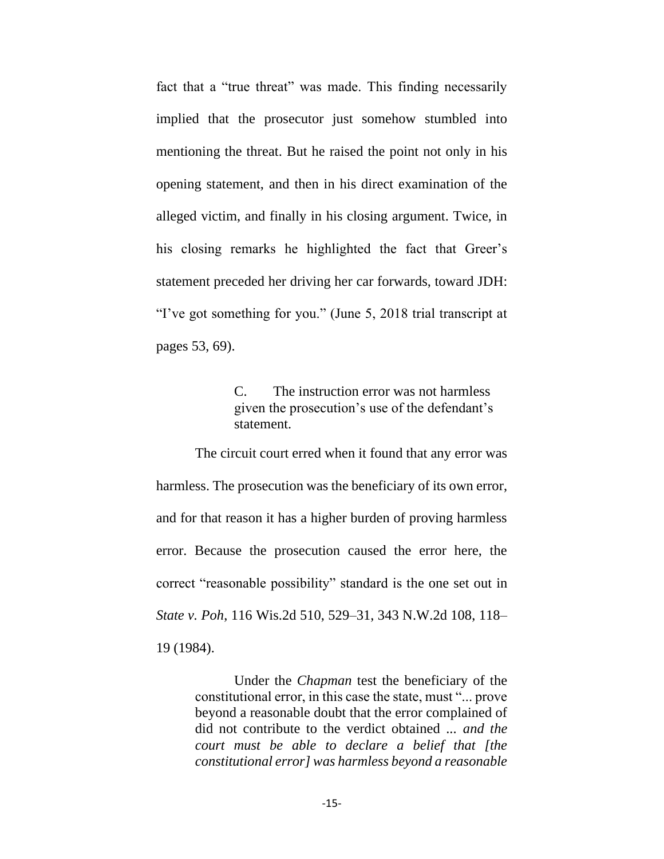fact that a "true threat" was made. This finding necessarily implied that the prosecutor just somehow stumbled into mentioning the threat. But he raised the point not only in his opening statement, and then in his direct examination of the alleged victim, and finally in his closing argument. Twice, in his closing remarks he highlighted the fact that Greer's statement preceded her driving her car forwards, toward JDH: "I've got something for you." (June 5, 2018 trial transcript at pages 53, 69).

> C. The instruction error was not harmless given the prosecution's use of the defendant's statement.

The circuit court erred when it found that any error was harmless. The prosecution was the beneficiary of its own error, and for that reason it has a higher burden of proving harmless error. Because the prosecution caused the error here, the correct "reasonable possibility" standard is the one set out in *State v. Poh*, 116 Wis.2d 510, 529–31, 343 N.W.2d 108, 118– 19 (1984).

> Under the *Chapman* test the beneficiary of the constitutional error, in this case the state, must "... prove beyond a reasonable doubt that the error complained of did not contribute to the verdict obtained ... *and the court must be able to declare a belief that [the constitutional error] was harmless beyond a reasonable*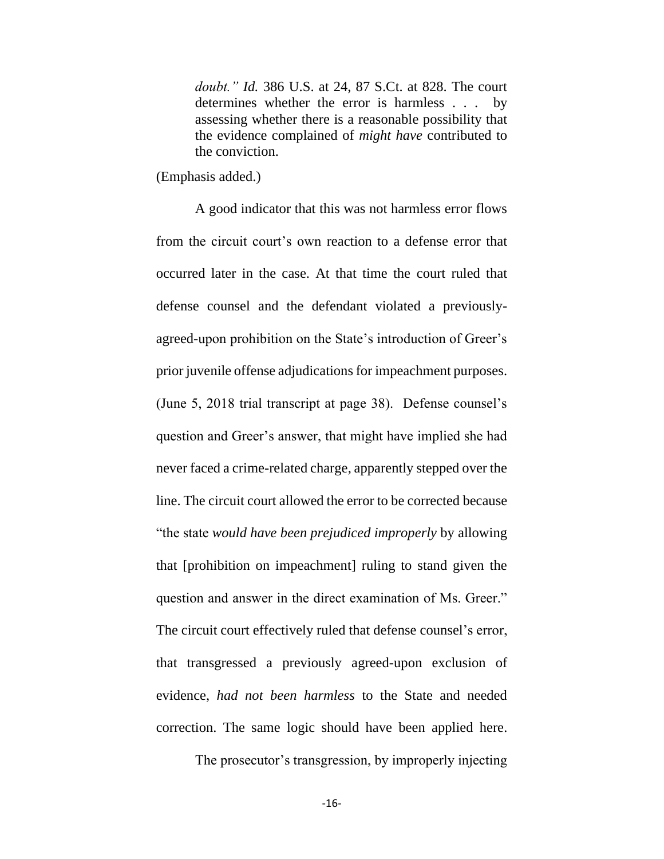*doubt." Id.* 386 U.S. at 24, 87 S.Ct. at 828. The court determines whether the error is harmless . . . by assessing whether there is a reasonable possibility that the evidence complained of *might have* contributed to the conviction.

(Emphasis added.)

A good indicator that this was not harmless error flows from the circuit court's own reaction to a defense error that occurred later in the case. At that time the court ruled that defense counsel and the defendant violated a previouslyagreed-upon prohibition on the State's introduction of Greer's prior juvenile offense adjudications for impeachment purposes. (June 5, 2018 trial transcript at page 38). Defense counsel's question and Greer's answer, that might have implied she had never faced a crime-related charge, apparently stepped over the line. The circuit court allowed the error to be corrected because "the state *would have been prejudiced improperly* by allowing that [prohibition on impeachment] ruling to stand given the question and answer in the direct examination of Ms. Greer." The circuit court effectively ruled that defense counsel's error, that transgressed a previously agreed-upon exclusion of evidence, *had not been harmless* to the State and needed correction. The same logic should have been applied here.

The prosecutor's transgression, by improperly injecting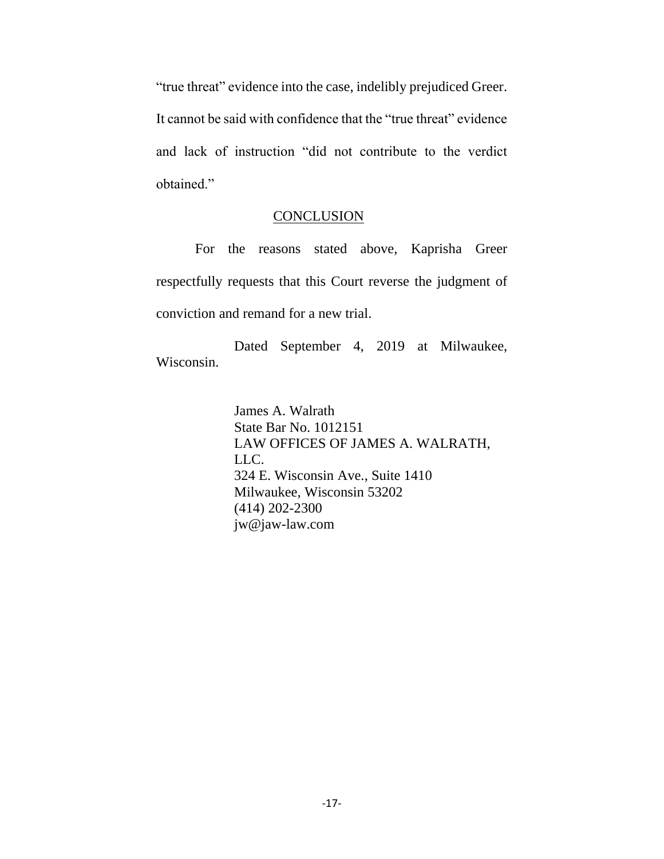"true threat" evidence into the case, indelibly prejudiced Greer. It cannot be said with confidence that the "true threat" evidence and lack of instruction "did not contribute to the verdict obtained."

### **CONCLUSION**

For the reasons stated above, Kaprisha Greer respectfully requests that this Court reverse the judgment of conviction and remand for a new trial.

Dated September 4, 2019 at Milwaukee, Wisconsin.

> James A. Walrath State Bar No. 1012151 LAW OFFICES OF JAMES A. WALRATH, LLC. 324 E. Wisconsin Ave., Suite 1410 Milwaukee, Wisconsin 53202 (414) 202-2300 jw@jaw-law.com